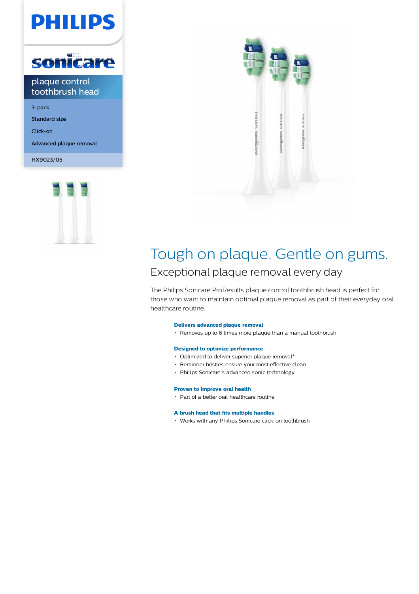



### plaque control toothbrush head

3-pack

Standard size

Click-on

Advanced plaque removal

HX9023/05





## Tough on plaque. Gentle on gums. Exceptional plaque removal every day

The Philips Sonicare ProResults plaque control toothbrush head is perfect for those who want to maintain optimal plaque removal as part of their everyday oral healthcare routine.

#### **Delivers advanced plaque removal**

Removes up to 6 times more plaque than a manual toothbrush

#### **Designed to optimize performance**

- Optimized to deliver superior plaque removal\*
- Reminder bristles ensure your most effective clean
- Philips Sonicare's advanced sonic technology

#### **Proven to improve oral health**

Part of a better oral healthcare routine

### **A brush head that fits multiple handles**

Works with any Philips Sonicare click-on toothbrush